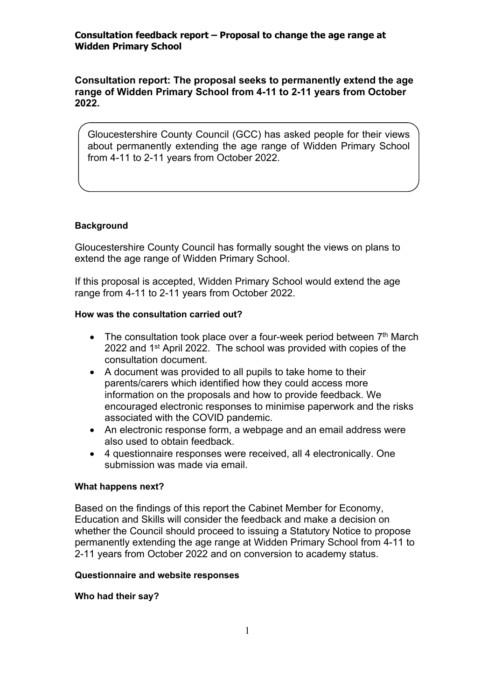**Consultation report: The proposal seeks to permanently extend the age range of Widden Primary School from 4-11 to 2-11 years from October 2022.**

Gloucestershire County Council (GCC) has asked people for their views about permanently extending the age range of Widden Primary School from 4-11 to 2-11 years from October 2022.

# **Background**

Gloucestershire County Council has formally sought the views on plans to extend the age range of Widden Primary School.

If this proposal is accepted, Widden Primary School would extend the age range from 4-11 to 2-11 years from October 2022.

# **How was the consultation carried out?**

- $\bullet$  The consultation took place over a four-week period between  $7<sup>th</sup>$  March 2022 and 1<sup>st</sup> April 2022. The school was provided with copies of the consultation document.
- A document was provided to all pupils to take home to their parents/carers which identified how they could access more information on the proposals and how to provide feedback. We encouraged electronic responses to minimise paperwork and the risks associated with the COVID pandemic.
- An electronic response form, a webpage and an email address were also used to obtain feedback.
- 4 questionnaire responses were received, all 4 electronically. One submission was made via email.

# **What happens next?**

Based on the findings of this report the Cabinet Member for Economy, Education and Skills will consider the feedback and make a decision on whether the Council should proceed to issuing a Statutory Notice to propose permanently extending the age range at Widden Primary School from 4-11 to 2-11 years from October 2022 and on conversion to academy status.

## **Questionnaire and website responses**

**Who had their say?**